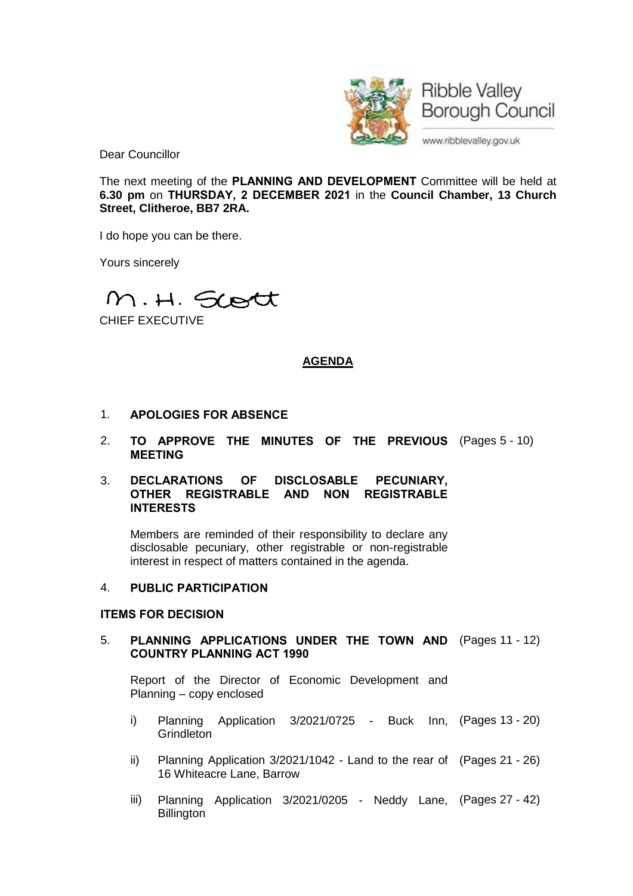

Dear Councillor

The next meeting of the **PLANNING AND DEVELOPMENT** Committee will be held at **6.30 pm** on **THURSDAY, 2 DECEMBER 2021** in the **Council Chamber, 13 Church Street, Clitheroe, BB7 2RA.**

I do hope you can be there.

Yours sincerely

M.H. Scott

CHIEF EXECUTIVE

## **AGENDA**

- 1. **APOLOGIES FOR ABSENCE**
- 2. **TO APPROVE THE MINUTES OF THE PREVIOUS** (Pages 5 10) **MEETING**

#### 3. **DECLARATIONS OF DISCLOSABLE PECUNIARY, OTHER REGISTRABLE AND NON REGISTRABLE INTERESTS**

Members are reminded of their responsibility to declare any disclosable pecuniary, other registrable or non-registrable interest in respect of matters contained in the agenda.

### 4. **PUBLIC PARTICIPATION**

#### **ITEMS FOR DECISION**

## 5. **PLANNING APPLICATIONS UNDER THE TOWN AND** (Pages 11 - 12) **COUNTRY PLANNING ACT 1990**

Report of the Director of Economic Development and Planning – copy enclosed

- i) Planning Application 3/2021/0725 Buck Inn, (Pages 13 20) **Grindleton**
- ii) Planning Application 3/2021/1042 Land to the rear of (Pages 21 26) 16 Whiteacre Lane, Barrow
- iii) Planning Application 3/2021/0205 Neddy Lane, (Pages 27 42)**Billington**